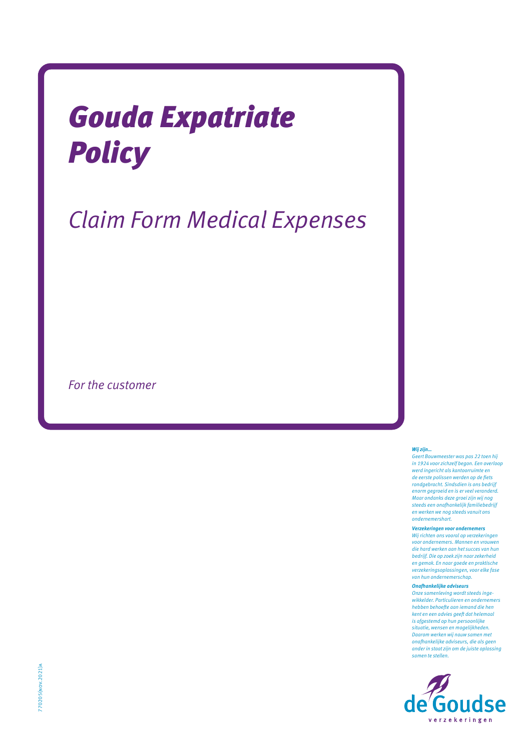# Gouda Expatriate Policy

Claim Form Medical Expenses

For the customer

#### **Wij zijn…**

Geert Bouwmeester was pas 22 toen hij in 1924 voor zichzelf begon. Een overloop werd ingericht als kantoorruimte en de eerste polissen werden op de fiets rondgebracht. Sindsdien is ons bedrijf enorm gegroeid en is er veel veranderd. Maar ondanks deze groei zijn wij nog steeds een onafhankelijk familiebedrijf en werken we nog steeds vanuit ons ondernemershart.

#### **Verzekeringen voor ondernemers**

Wij richten ons vooral op verzekeringen voor ondernemers. Mannen en vrouwen die hard werken aan het succes van hun bedrijf. Die op zoek zijn naar zekerheid en gemak. En naar goede en praktische verzekeringsoplossingen, voor elke fase van hun ondernemerschap.

#### **Onafhankelijke adviseurs**

Onze samenleving wordt steeds ingewikkelder. Particulieren en ondernemers hebben behoefte aan iemand die hen kent en een advies geeft dat helemaal is afgestemd op hun persoonlijke situatie, wensen en mogelijkheden. Daarom werken wij nauw samen met ona ankelijke adviseurs, die als geen ander in staat zijn om de juiste oplossing samen te stellen.

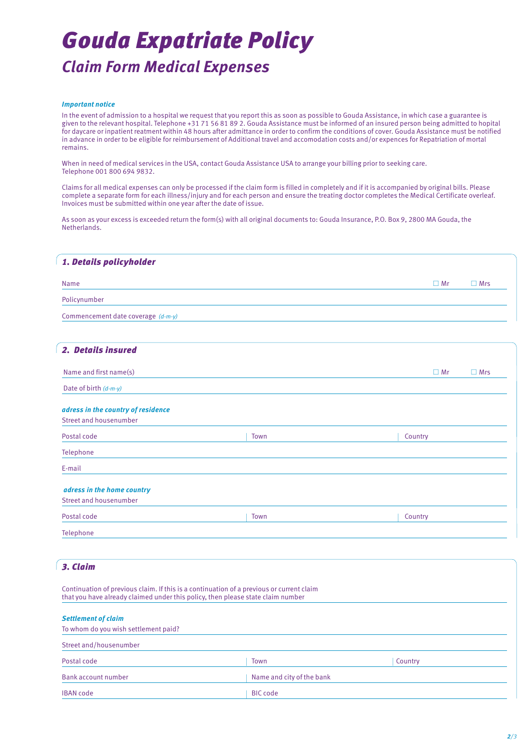# Gouda Expatriate Policy **Claim Form Medical Expenses**

#### **Important notice**

 In the event of admission to a hospital we request that you report this as soon as possible to Gouda Assistance, in which case a guarantee is given to the relevant hospital. Telephone +31 71 56 81 89 2. Gouda Assistance must be informed of an insured person being admitted to hopital for daycare or inpatient reatment within 48 hours after admittance in order to confirm the conditions of cover. Gouda Assistance must be notified in advance in order to be eligible for reimbursement of Additional travel and accomodation costs and/or expences for Repatriation of mortal remains.

 When in need of medical services in the USA, contact Gouda Assistance USA to arrange your billing prior to seeking care. Telephone 001 800 694 9832.

 Claims for all medical expenses can only be processed if the claim form is filled in completely and if it is accompanied by original bills. Please complete a separate form for each illness/injury and for each person and ensure the treating doctor completes the Medical Certificate overleaf. Invoices must be submitted within one year after the date of issue.

 As soon as your excess is exceeded return the form(s) with all original documents to: Gouda Insurance, P.O. Box 9, 2800 MA Gouda, the Netherlands.

# 1. Details policyholder

| Name                               | $\Box$ Mr | $\Box$ Mrs |
|------------------------------------|-----------|------------|
| Policynumber                       |           |            |
| Commencement date coverage (d-m-y) |           |            |

## 2. Details insured

| Name and first name(s)             |      | $\Box$ Mr<br>$\Box$ Mrs |
|------------------------------------|------|-------------------------|
| Date of birth $(d-m-y)$            |      |                         |
| adress in the country of residence |      |                         |
| Street and housenumber             |      |                         |
| Postal code                        | Town | Country                 |
| Telephone                          |      |                         |
| E-mail                             |      |                         |
| adress in the home country         |      |                         |
| Street and housenumber             |      |                         |
| Postal code                        | Town | Country                 |
| Telephone                          |      |                         |

### 3. Claim

 Continuation of previous claim. If this is a continuation of a previous or current claim that you have already claimed under this policy, then please state claim number  **Settlement of claim** To whom do you wish settlement paid? Street and/housenumber Postal code © Town © Town © Town © Town © Town © Town © Town © Town © Town © Town © Town © Town © Town © Town © Town © Town © Town © Town © Town © Town © Town © Town © Town © Town © Town © Town © Town © Town © Town © Town Country Bank account number **Name and city of the bank** IBAN code BIC code